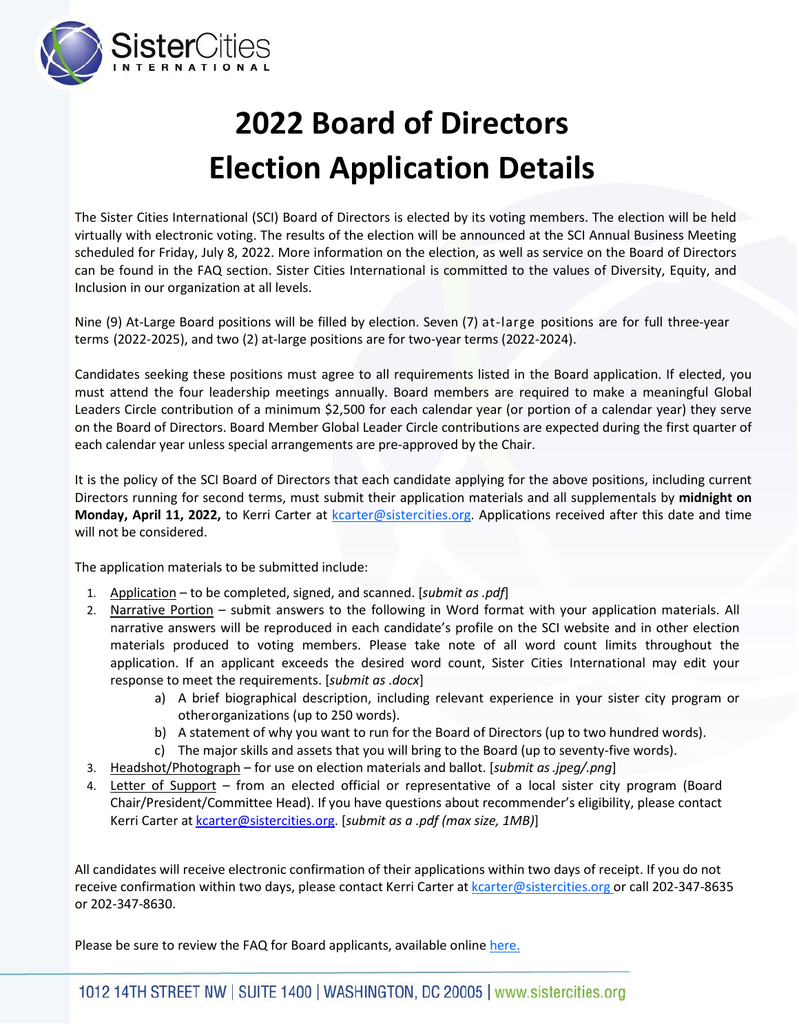

## **2022 Board of Directors Election Application Details**

The Sister Cities International (SCI) Board of Directors is elected by its voting members. The election will be held virtually with electronic voting. The results of the election will be announced at the SCI Annual Business Meeting scheduled for Friday, July 8, 2022. More information on the election, as well as service on the Board of Directors can be found in the FAQ section. Sister Cities International is committed to the values of Diversity, Equity, and Inclusion in our organization at all levels.

Nine (9) At-Large Board positions will be filled by election. Seven (7) at-large positions are for full three-year terms (2022-2025), and two (2) at-large positions are for two-year terms (2022-2024).

Candidates seeking these positions must agree to all requirements listed in the Board application. If elected, you must attend the four leadership meetings annually. Board members are required to make a meaningful Global Leaders Circle contribution of a minimum \$2,500 for each calendar year (or portion of a calendar year) they serve on the Board of Directors. Board Member Global Leader Circle contributions are expected during the first quarter of each calendar year unless special arrangements are pre-approved by the Chair.

It is the policy of the SCI Board of Directors that each candidate applying for the above positions, including current Directors running for second terms, must submit their application materials and all supplementals by **midnight on Monday, April 11, 2022,** to Kerri Carter at kcarter@sistercities.org. Applications received after this date and time will not be considered.

The application materials to be submitted include:

- 1. Application to be completed, signed, and scanned. [*submit as .pdf*]
- 2. Narrative Portion submit answers to the following in Word format with your application materials. All narrative answers will be reproduced in each candidate's profile on the SCI website and in other election materials produced to voting members. Please take note of all word count limits throughout the application. If an applicant exceeds the desired word count, Sister Cities International may edit your response to meet the requirements. [*submit as .docx*]
	- a) A brief biographical description, including relevant experience in your sister city program or otherorganizations (up to 250 words).
	- b) A statement of why you want to run for the Board of Directors (up to two hundred words).
	- c) The major skills and assets that you will bring to the Board (up to seventy-five words).
- 3. Headshot/Photograph for use on election materials and ballot. [*submit as.jpeg/.png*]
- 4. Letter of Support from an elected official or representative of a local sister city program (Board Chair/President/Committee Head). If you have questions about recommender's eligibility, please contact Kerri Carter at [kcarter@sistercities.org.](mailto:kcarter@sistercities.org) [*submit as a .pdf (max size, 1MB)*]

All candidates will receive electronic confirmation of their applications within two days of receipt. If you do not receive confirmation within two days, please contact Kerri Carter at kcarter@sistercities.org or call 202-347-8635 or 202-347-8630.

Please be sure to review the FAQ for Board applicants, available online [here.](https://sistercities.org/board-of-directors/board-elections/)